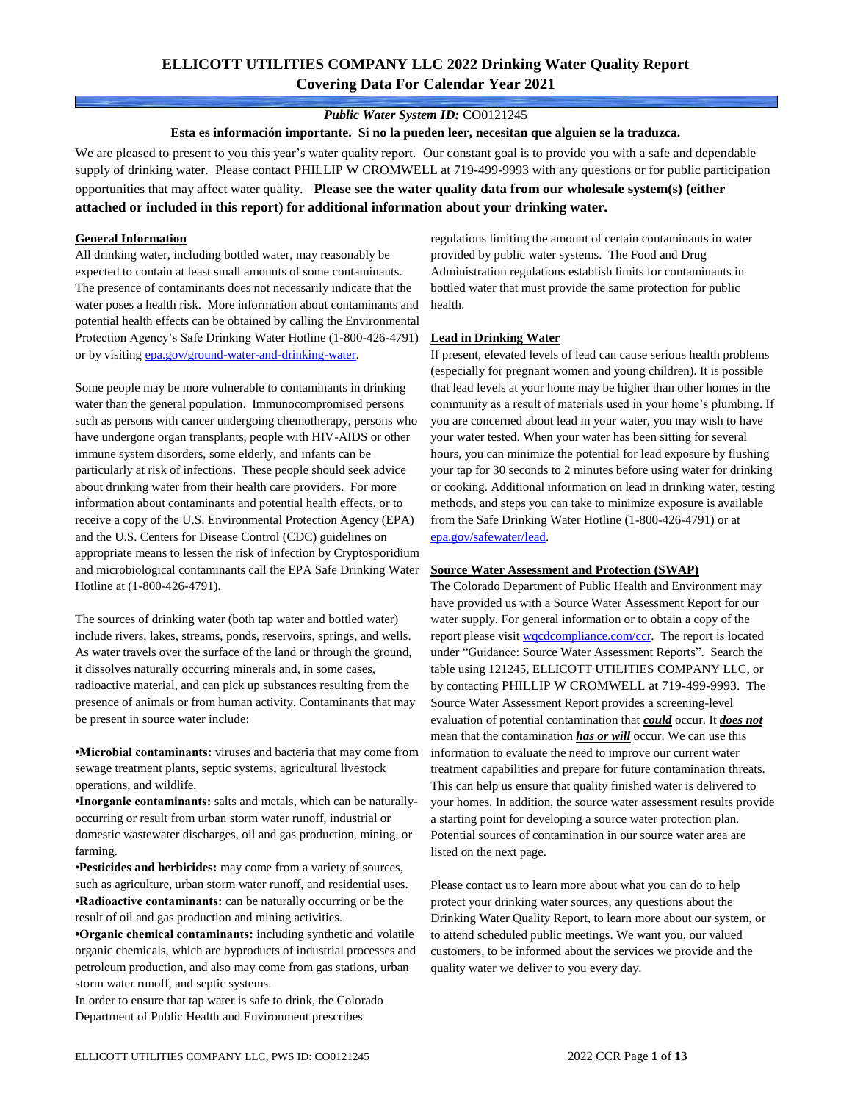## **ELLICOTT UTILITIES COMPANY LLC 2022 Drinking Water Quality Report Covering Data For Calendar Year 2021**

### *Public Water System ID:* CO0121245

**Esta es información importante. Si no la pueden leer, necesitan que alguien se la traduzca.**

We are pleased to present to you this year's water quality report. Our constant goal is to provide you with a safe and dependable supply of drinking water. Please contact PHILLIP W CROMWELL at 719-499-9993 with any questions or for public participation opportunities that may affect water quality. **Please see the water quality data from our wholesale system(s) (either attached or included in this report) for additional information about your drinking water.**

#### **General Information**

All drinking water, including bottled water, may reasonably be expected to contain at least small amounts of some contaminants. The presence of contaminants does not necessarily indicate that the water poses a health risk. More information about contaminants and potential health effects can be obtained by calling the Environmental Protection Agency's Safe Drinking Water Hotline (1-800-426-4791) or by visiting [epa.gov/ground-water-and-drinking-water.](https://www.epa.gov/ground-water-and-drinking-water)

Some people may be more vulnerable to contaminants in drinking water than the general population. Immunocompromised persons such as persons with cancer undergoing chemotherapy, persons who have undergone organ transplants, people with HIV-AIDS or other immune system disorders, some elderly, and infants can be particularly at risk of infections. These people should seek advice about drinking water from their health care providers. For more information about contaminants and potential health effects, or to receive a copy of the U.S. Environmental Protection Agency (EPA) and the U.S. Centers for Disease Control (CDC) guidelines on appropriate means to lessen the risk of infection by Cryptosporidium and microbiological contaminants call the EPA Safe Drinking Water Hotline at (1-800-426-4791).

The sources of drinking water (both tap water and bottled water) include rivers, lakes, streams, ponds, reservoirs, springs, and wells. As water travels over the surface of the land or through the ground, it dissolves naturally occurring minerals and, in some cases, radioactive material, and can pick up substances resulting from the presence of animals or from human activity. Contaminants that may be present in source water include:

**•Microbial contaminants:** viruses and bacteria that may come from sewage treatment plants, septic systems, agricultural livestock operations, and wildlife.

**•Inorganic contaminants:** salts and metals, which can be naturallyoccurring or result from urban storm water runoff, industrial or domestic wastewater discharges, oil and gas production, mining, or farming.

•**Pesticides and herbicides:** may come from a variety of sources, such as agriculture, urban storm water runoff, and residential uses. **•Radioactive contaminants:** can be naturally occurring or be the result of oil and gas production and mining activities.

**•Organic chemical contaminants:** including synthetic and volatile organic chemicals, which are byproducts of industrial processes and petroleum production, and also may come from gas stations, urban storm water runoff, and septic systems.

In order to ensure that tap water is safe to drink, the Colorado Department of Public Health and Environment prescribes

regulations limiting the amount of certain contaminants in water provided by public water systems. The Food and Drug Administration regulations establish limits for contaminants in bottled water that must provide the same protection for public health.

#### **Lead in Drinking Water**

If present, elevated levels of lead can cause serious health problems (especially for pregnant women and young children). It is possible that lead levels at your home may be higher than other homes in the community as a result of materials used in your home's plumbing. If you are concerned about lead in your water, you may wish to have your water tested. When your water has been sitting for several hours, you can minimize the potential for lead exposure by flushing your tap for 30 seconds to 2 minutes before using water for drinking or cooking. Additional information on lead in drinking water, testing methods, and steps you can take to minimize exposure is available from the Safe Drinking Water Hotline (1-800-426-4791) or at [epa.gov/safewater/lead.](http://www.epa.gov/safewater/lead) 

#### **Source Water Assessment and Protection (SWAP)**

The Colorado Department of Public Health and Environment may have provided us with a Source Water Assessment Report for our water supply. For general information or to obtain a copy of the report please visit [wqcdcompliance.com/ccr.](https://wqcdcompliance.com/ccr) The report is located under "Guidance: Source Water Assessment Reports". Search the table using 121245, ELLICOTT UTILITIES COMPANY LLC, or by contacting PHILLIP W CROMWELL at 719-499-9993. The Source Water Assessment Report provides a screening-level evaluation of potential contamination that *could* occur. It *does not* mean that the contamination *has or will* occur. We can use this information to evaluate the need to improve our current water treatment capabilities and prepare for future contamination threats. This can help us ensure that quality finished water is delivered to your homes. In addition, the source water assessment results provide a starting point for developing a source water protection plan. Potential sources of contamination in our source water area are listed on the next page.

Please contact us to learn more about what you can do to help protect your drinking water sources, any questions about the Drinking Water Quality Report, to learn more about our system, or to attend scheduled public meetings. We want you, our valued customers, to be informed about the services we provide and the quality water we deliver to you every day.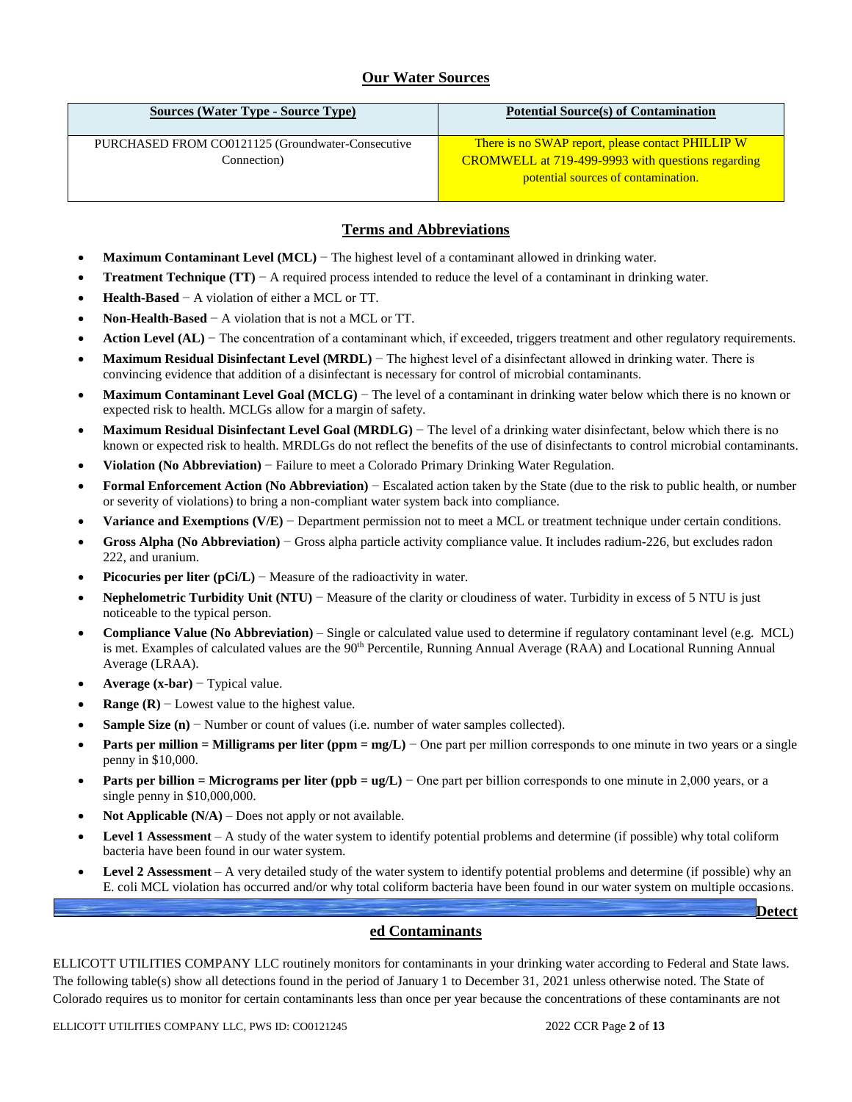### **Our Water Sources**

| Sources (Water Type - Source Type)                               | <b>Potential Source(s) of Contamination</b>                                                                                                          |
|------------------------------------------------------------------|------------------------------------------------------------------------------------------------------------------------------------------------------|
| PURCHASED FROM CO0121125 (Groundwater-Consecutive<br>Connection) | There is no SWAP report, please contact PHILLIP W<br><b>CROMWELL</b> at 719-499-9993 with questions regarding<br>potential sources of contamination. |

### **Terms and Abbreviations**

- **Maximum Contaminant Level (MCL)** − The highest level of a contaminant allowed in drinking water.
- **Treatment Technique (TT)**  $A$  required process intended to reduce the level of a contaminant in drinking water.
- **Health-Based** − A violation of either a MCL or TT.
- **Non-Health-Based** − A violation that is not a MCL or TT.
- Action Level (AL) − The concentration of a contaminant which, if exceeded, triggers treatment and other regulatory requirements.
- **Maximum Residual Disinfectant Level (MRDL)** − The highest level of a disinfectant allowed in drinking water. There is convincing evidence that addition of a disinfectant is necessary for control of microbial contaminants.
- **Maximum Contaminant Level Goal (MCLG)** − The level of a contaminant in drinking water below which there is no known or expected risk to health. MCLGs allow for a margin of safety.
- **Maximum Residual Disinfectant Level Goal (MRDLG)** − The level of a drinking water disinfectant, below which there is no known or expected risk to health. MRDLGs do not reflect the benefits of the use of disinfectants to control microbial contaminants.
- **Violation (No Abbreviation)** − Failure to meet a Colorado Primary Drinking Water Regulation.
- **Formal Enforcement Action (No Abbreviation)** − Escalated action taken by the State (due to the risk to public health, or number or severity of violations) to bring a non-compliant water system back into compliance.
- **Variance and Exemptions (V/E)** − Department permission not to meet a MCL or treatment technique under certain conditions.
- **Gross Alpha (No Abbreviation)** − Gross alpha particle activity compliance value. It includes radium-226, but excludes radon 222, and uranium.
- **Picocuries per liter (pCi/L)** − Measure of the radioactivity in water.
- **Nephelometric Turbidity Unit (NTU)** − Measure of the clarity or cloudiness of water. Turbidity in excess of 5 NTU is just noticeable to the typical person.
- **Compliance Value (No Abbreviation)** Single or calculated value used to determine if regulatory contaminant level (e.g. MCL) is met. Examples of calculated values are the 90<sup>th</sup> Percentile, Running Annual Average (RAA) and Locational Running Annual Average (LRAA).
- **Average (x-bar)** − Typical value.
- **Range (R)**  $-$  Lowest value to the highest value.
- **Sample Size (n)** − Number or count of values (i.e. number of water samples collected).
- **Parts per million = Milligrams per liter (ppm = mg/L)** − One part per million corresponds to one minute in two years or a single penny in \$10,000.
- **Parts per billion = Micrograms per liter (ppb = ug/L)** − One part per billion corresponds to one minute in 2,000 years, or a single penny in \$10,000,000.
- **Not Applicable (N/A)** Does not apply or not available.
- **Level 1 Assessment** A study of the water system to identify potential problems and determine (if possible) why total coliform bacteria have been found in our water system.
- **Level 2 Assessment** A very detailed study of the water system to identify potential problems and determine (if possible) why an E. coli MCL violation has occurred and/or why total coliform bacteria have been found in our water system on multiple occasions.

### **ed Contaminants**

ELLICOTT UTILITIES COMPANY LLC routinely monitors for contaminants in your drinking water according to Federal and State laws. The following table(s) show all detections found in the period of January 1 to December 31, 2021 unless otherwise noted. The State of Colorado requires us to monitor for certain contaminants less than once per year because the concentrations of these contaminants are not

ELLICOTT UTILITIES COMPANY LLC, PWS ID: CO0121245 2022 CCR Page **2** of **13**

**Detect**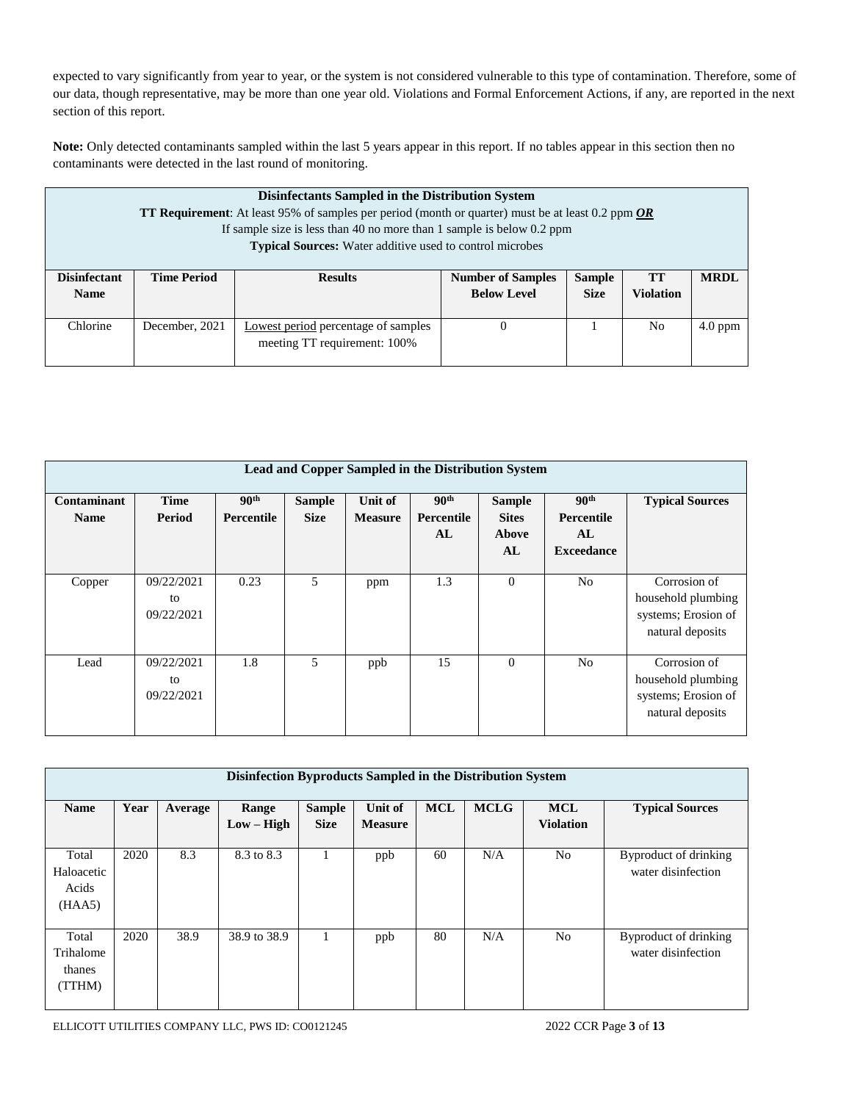expected to vary significantly from year to year, or the system is not considered vulnerable to this type of contamination. Therefore, some of our data, though representative, may be more than one year old. Violations and Formal Enforcement Actions, if any, are reported in the next section of this report.

**Note:** Only detected contaminants sampled within the last 5 years appear in this report. If no tables appear in this section then no contaminants were detected in the last round of monitoring.

|                                    | <b>Disinfectants Sampled in the Distribution System</b><br><b>TT Requirement:</b> At least 95% of samples per period (month or quarter) must be at least 0.2 ppm $OR$<br>If sample size is less than 40 no more than 1 sample is below $0.2$ ppm<br><b>Typical Sources:</b> Water additive used to control microbes |                                                                     |                                                                                                                                |  |    |           |  |  |  |
|------------------------------------|---------------------------------------------------------------------------------------------------------------------------------------------------------------------------------------------------------------------------------------------------------------------------------------------------------------------|---------------------------------------------------------------------|--------------------------------------------------------------------------------------------------------------------------------|--|----|-----------|--|--|--|
| <b>Disinfectant</b><br><b>Name</b> | <b>Time Period</b>                                                                                                                                                                                                                                                                                                  | <b>Results</b>                                                      | <b>MRDL</b><br><b>TT</b><br><b>Number of Samples</b><br><b>Sample</b><br><b>Below Level</b><br><b>Violation</b><br><b>Size</b> |  |    |           |  |  |  |
| Chlorine                           | December, 2021                                                                                                                                                                                                                                                                                                      | Lowest period percentage of samples<br>meeting TT requirement: 100% | $\theta$                                                                                                                       |  | No | $4.0$ ppm |  |  |  |

| Lead and Copper Sampled in the Distribution System |               |                  |               |                |                  |                |                   |                        |  |  |  |
|----------------------------------------------------|---------------|------------------|---------------|----------------|------------------|----------------|-------------------|------------------------|--|--|--|
| <b>Contaminant</b>                                 | <b>Time</b>   | 90 <sup>th</sup> | <b>Sample</b> | Unit of        | 90 <sup>th</sup> | <b>Sample</b>  | 90 <sup>th</sup>  | <b>Typical Sources</b> |  |  |  |
| <b>Name</b>                                        | <b>Period</b> | Percentile       | <b>Size</b>   | <b>Measure</b> | Percentile       | <b>Sites</b>   | <b>Percentile</b> |                        |  |  |  |
|                                                    |               |                  |               |                | AL               | Above          | AL                |                        |  |  |  |
|                                                    |               |                  |               |                |                  | AL             | <b>Exceedance</b> |                        |  |  |  |
|                                                    |               |                  |               |                |                  |                |                   |                        |  |  |  |
| Copper                                             | 09/22/2021    | 0.23             | 5             | ppm            | 1.3              | $\overline{0}$ | N <sub>o</sub>    | Corrosion of           |  |  |  |
|                                                    | to            |                  |               |                |                  |                |                   | household plumbing     |  |  |  |
|                                                    | 09/22/2021    |                  |               |                |                  |                |                   | systems; Erosion of    |  |  |  |
|                                                    |               |                  |               |                |                  |                |                   | natural deposits       |  |  |  |
|                                                    |               |                  |               |                |                  |                |                   |                        |  |  |  |
| Lead                                               | 09/22/2021    | 1.8              | 5             | ppb            | 15               | $\theta$       | N <sub>o</sub>    | Corrosion of           |  |  |  |
|                                                    | to            |                  |               |                |                  |                |                   | household plumbing     |  |  |  |
|                                                    | 09/22/2021    |                  |               |                |                  |                |                   | systems; Erosion of    |  |  |  |
|                                                    |               |                  |               |                |                  |                |                   | natural deposits       |  |  |  |
|                                                    |               |                  |               |                |                  |                |                   |                        |  |  |  |

|                                        | Disinfection Byproducts Sampled in the Distribution System |         |                       |                              |                           |            |             |                                |                                             |  |  |
|----------------------------------------|------------------------------------------------------------|---------|-----------------------|------------------------------|---------------------------|------------|-------------|--------------------------------|---------------------------------------------|--|--|
|                                        |                                                            |         |                       |                              |                           |            |             |                                |                                             |  |  |
| <b>Name</b>                            | Year                                                       | Average | Range<br>$Low - High$ | <b>Sample</b><br><b>Size</b> | Unit of<br><b>Measure</b> | <b>MCL</b> | <b>MCLG</b> | <b>MCL</b><br><b>Violation</b> | <b>Typical Sources</b>                      |  |  |
| Total<br>Haloacetic<br>Acids<br>(HAA5) | 2020                                                       | 8.3     | 8.3 to 8.3            |                              | ppb                       | 60         | N/A         | N <sub>o</sub>                 | Byproduct of drinking<br>water disinfection |  |  |
| Total<br>Trihalome<br>thanes<br>(TTHM) | 2020                                                       | 38.9    | 38.9 to 38.9          |                              | ppb                       | 80         | N/A         | N <sub>0</sub>                 | Byproduct of drinking<br>water disinfection |  |  |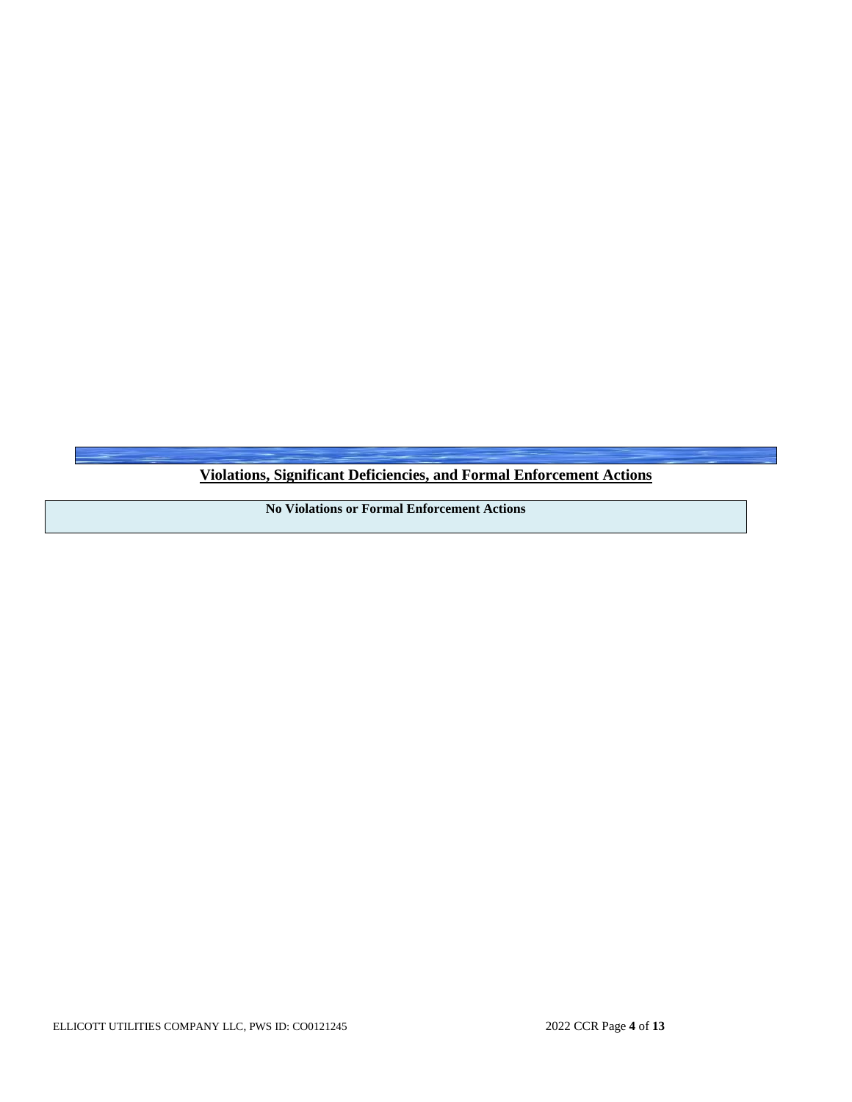**Violations, Significant Deficiencies, and Formal Enforcement Actions**

**No Violations or Formal Enforcement Actions**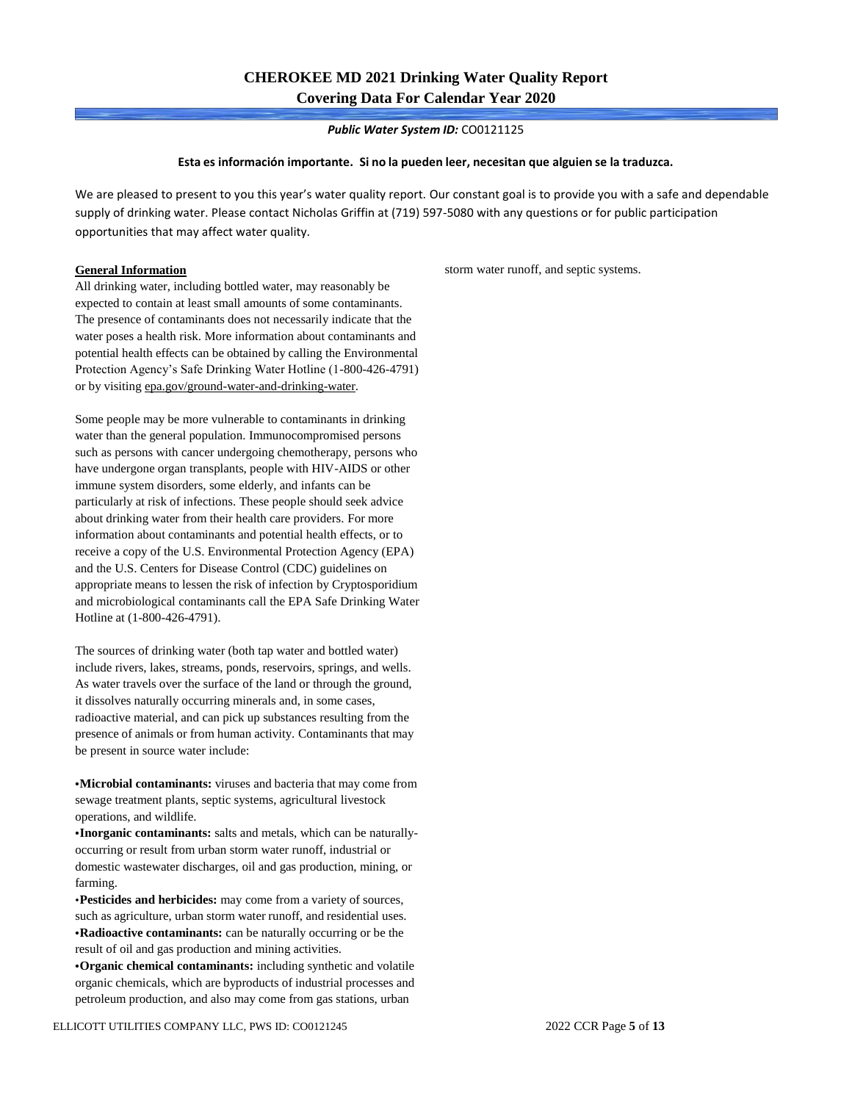*Public Water System ID:* CO0121125

#### **Esta es información importante. Si no la pueden leer, necesitan que alguien se la traduzca.**

We are pleased to present to you this year's water quality report. Our constant goal is to provide you with a safe and dependable supply of drinking water. Please contact Nicholas Griffin at (719) 597-5080 with any questions or for public participation opportunities that may affect water quality.

#### **General Information**

All drinking water, including bottled water, may reasonably be expected to contain at least small amounts of some contaminants. The presence of contaminants does not necessarily indicate that the water poses a health risk. More information about contaminants and potential health effects can be obtained by calling the Environmental Protection Agency's Safe Drinking Water Hotline (1-800-426-4791) or by visiting epa.gov/ground-water-and-drinking-water.

Some people may be more vulnerable to contaminants in drinking water than the general population. Immunocompromised persons such as persons with cancer undergoing chemotherapy, persons who have undergone organ transplants, people with HIV-AIDS or other immune system disorders, some elderly, and infants can be particularly at risk of infections. These people should seek advice about drinking water from their health care providers. For more information about contaminants and potential health effects, or to receive a copy of the U.S. Environmental Protection Agency (EPA) and the U.S. Centers for Disease Control (CDC) guidelines on appropriate means to lessen the risk of infection by Cryptosporidium and microbiological contaminants call the EPA Safe Drinking Water Hotline at (1-800-426-4791).

The sources of drinking water (both tap water and bottled water) include rivers, lakes, streams, ponds, reservoirs, springs, and wells. As water travels over the surface of the land or through the ground, it dissolves naturally occurring minerals and, in some cases, radioactive material, and can pick up substances resulting from the presence of animals or from human activity. Contaminants that may be present in source water include:

**•Microbial contaminants:** viruses and bacteria that may come from sewage treatment plants, septic systems, agricultural livestock operations, and wildlife.

**•Inorganic contaminants:** salts and metals, which can be naturallyoccurring or result from urban storm water runoff, industrial or domestic wastewater discharges, oil and gas production, mining, or farming.

•**Pesticides and herbicides:** may come from a variety of sources, such as agriculture, urban storm water runoff, and residential uses. **•Radioactive contaminants:** can be naturally occurring or be the result of oil and gas production and mining activities.

**•Organic chemical contaminants:** including synthetic and volatile organic chemicals, which are byproducts of industrial processes and petroleum production, and also may come from gas stations, urban

storm water runoff, and septic systems.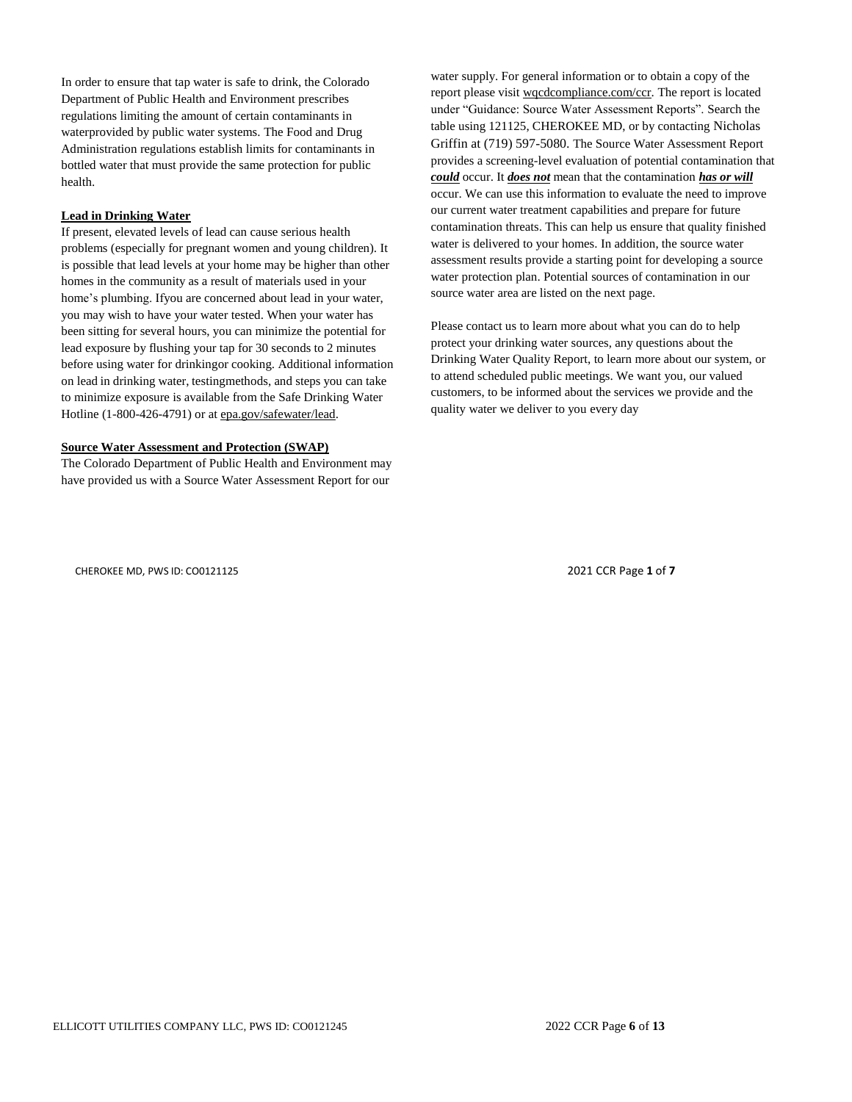In order to ensure that tap water is safe to drink, the Colorado Department of Public Health and Environment prescribes regulations limiting the amount of certain contaminants in waterprovided by public water systems. The Food and Drug Administration regulations establish limits for contaminants in bottled water that must provide the same protection for public health.

#### **Lead in Drinking Water**

If present, elevated levels of lead can cause serious health problems (especially for pregnant women and young children). It is possible that lead levels at your home may be higher than other homes in the community as a result of materials used in your home's plumbing. Ifyou are concerned about lead in your water, you may wish to have your water tested. When your water has been sitting for several hours, you can minimize the potential for lead exposure by flushing your tap for 30 seconds to 2 minutes before using water for drinkingor cooking. Additional information on lead in drinking water, testingmethods, and steps you can take to minimize exposure is available from the Safe Drinking Water Hotline (1-800-426-4791) or at epa.gov/safewater/lead.

#### **Source Water Assessment and Protection (SWAP)**

The Colorado Department of Public Health and Environment may have provided us with a Source Water Assessment Report for our

water supply. For general information or to obtain a copy of the report please visit wqcdcompliance.com/ccr. The report is located under "Guidance: Source Water Assessment Reports". Search the table using 121125, CHEROKEE MD, or by contacting Nicholas Griffin at (719) 597-5080. The Source Water Assessment Report provides a screening-level evaluation of potential contamination that *could* occur. It *does not* mean that the contamination *has or will* occur. We can use this information to evaluate the need to improve our current water treatment capabilities and prepare for future contamination threats. This can help us ensure that quality finished water is delivered to your homes. In addition, the source water assessment results provide a starting point for developing a source water protection plan. Potential sources of contamination in our source water area are listed on the next page.

Please contact us to learn more about what you can do to help protect your drinking water sources, any questions about the Drinking Water Quality Report, to learn more about our system, or to attend scheduled public meetings. We want you, our valued customers, to be informed about the services we provide and the quality water we deliver to you every day

CHEROKEE MD, PWS ID: CO0121125 2021 CCR Page **1** of **7**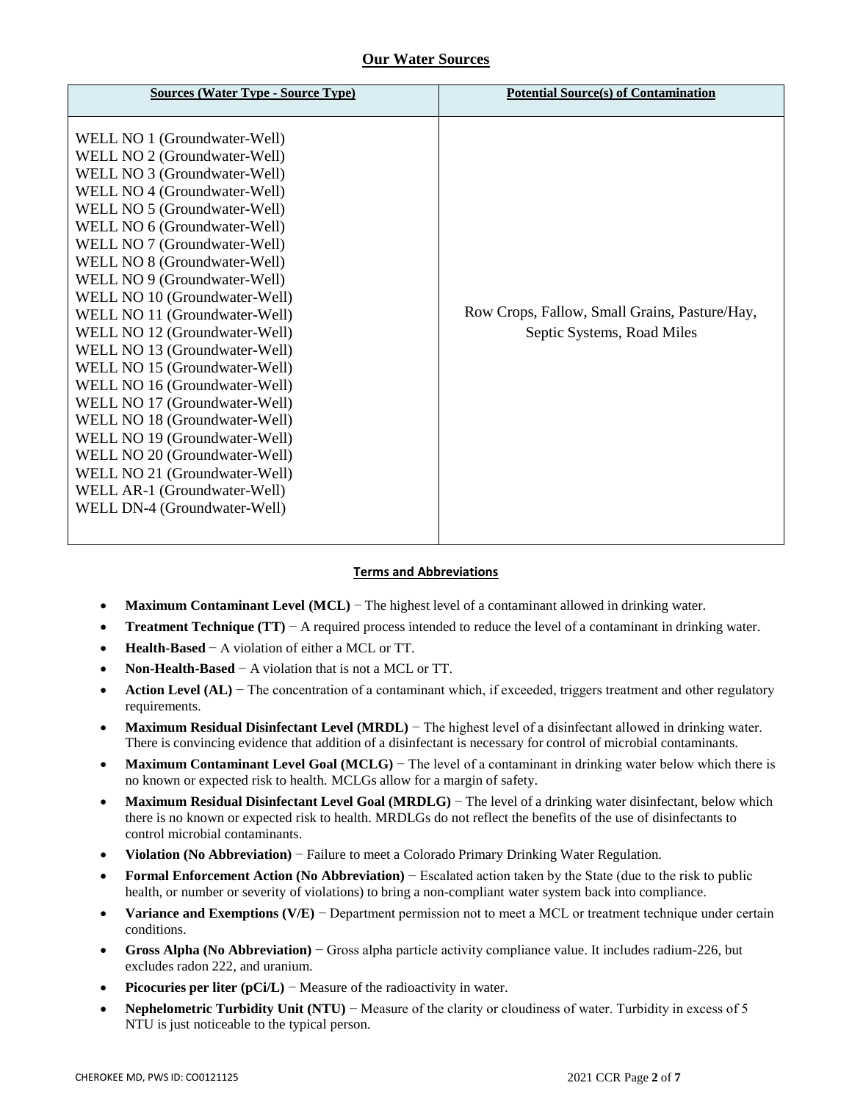### **Our Water Sources**

| <b>Sources (Water Type - Source Type)</b>                                                                                                                                                                                                                                                                                                                                                                                                                                                                                                                                                                                                                                                                                               | <b>Potential Source(s) of Contamination</b>                                 |
|-----------------------------------------------------------------------------------------------------------------------------------------------------------------------------------------------------------------------------------------------------------------------------------------------------------------------------------------------------------------------------------------------------------------------------------------------------------------------------------------------------------------------------------------------------------------------------------------------------------------------------------------------------------------------------------------------------------------------------------------|-----------------------------------------------------------------------------|
| WELL NO 1 (Groundwater-Well)<br>WELL NO 2 (Groundwater-Well)<br>WELL NO 3 (Groundwater-Well)<br>WELL NO 4 (Groundwater-Well)<br>WELL NO 5 (Groundwater-Well)<br>WELL NO 6 (Groundwater-Well)<br>WELL NO 7 (Groundwater-Well)<br>WELL NO 8 (Groundwater-Well)<br>WELL NO 9 (Groundwater-Well)<br>WELL NO 10 (Groundwater-Well)<br>WELL NO 11 (Groundwater-Well)<br>WELL NO 12 (Groundwater-Well)<br>WELL NO 13 (Groundwater-Well)<br>WELL NO 15 (Groundwater-Well)<br>WELL NO 16 (Groundwater-Well)<br>WELL NO 17 (Groundwater-Well)<br>WELL NO 18 (Groundwater-Well)<br>WELL NO 19 (Groundwater-Well)<br>WELL NO 20 (Groundwater-Well)<br>WELL NO 21 (Groundwater-Well)<br>WELL AR-1 (Groundwater-Well)<br>WELL DN-4 (Groundwater-Well) | Row Crops, Fallow, Small Grains, Pasture/Hay,<br>Septic Systems, Road Miles |

### **Terms and Abbreviations**

- **Maximum Contaminant Level (MCL)** − The highest level of a contaminant allowed in drinking water.
- **Treatment Technique (TT)** − A required process intended to reduce the level of a contaminant in drinking water.
- **Health-Based** − A violation of either a MCL or TT.
- **Non-Health-Based** − A violation that is not a MCL or TT.
- **Action Level (AL)** − The concentration of a contaminant which, if exceeded, triggers treatment and other regulatory requirements.
- **Maximum Residual Disinfectant Level (MRDL)** − The highest level of a disinfectant allowed in drinking water. There is convincing evidence that addition of a disinfectant is necessary for control of microbial contaminants.
- **Maximum Contaminant Level Goal (MCLG) The level of a contaminant in drinking water below which there is** no known or expected risk to health. MCLGs allow for a margin of safety.
- **Maximum Residual Disinfectant Level Goal (MRDLG)** − The level of a drinking water disinfectant, below which there is no known or expected risk to health. MRDLGs do not reflect the benefits of the use of disinfectants to control microbial contaminants.
- **Violation (No Abbreviation)** − Failure to meet a Colorado Primary Drinking Water Regulation.
- **Formal Enforcement Action (No Abbreviation)** − Escalated action taken by the State (due to the risk to public health, or number or severity of violations) to bring a non-compliant water system back into compliance.
- **Variance and Exemptions (V/E)** − Department permission not to meet a MCL or treatment technique under certain conditions.
- **Gross Alpha (No Abbreviation)** − Gross alpha particle activity compliance value. It includes radium-226, but excludes radon 222, and uranium.
- **Picocuries per liter (pCi/L)** − Measure of the radioactivity in water.
- **Nephelometric Turbidity Unit (NTU)** − Measure of the clarity or cloudiness of water. Turbidity in excess of 5 NTU is just noticeable to the typical person.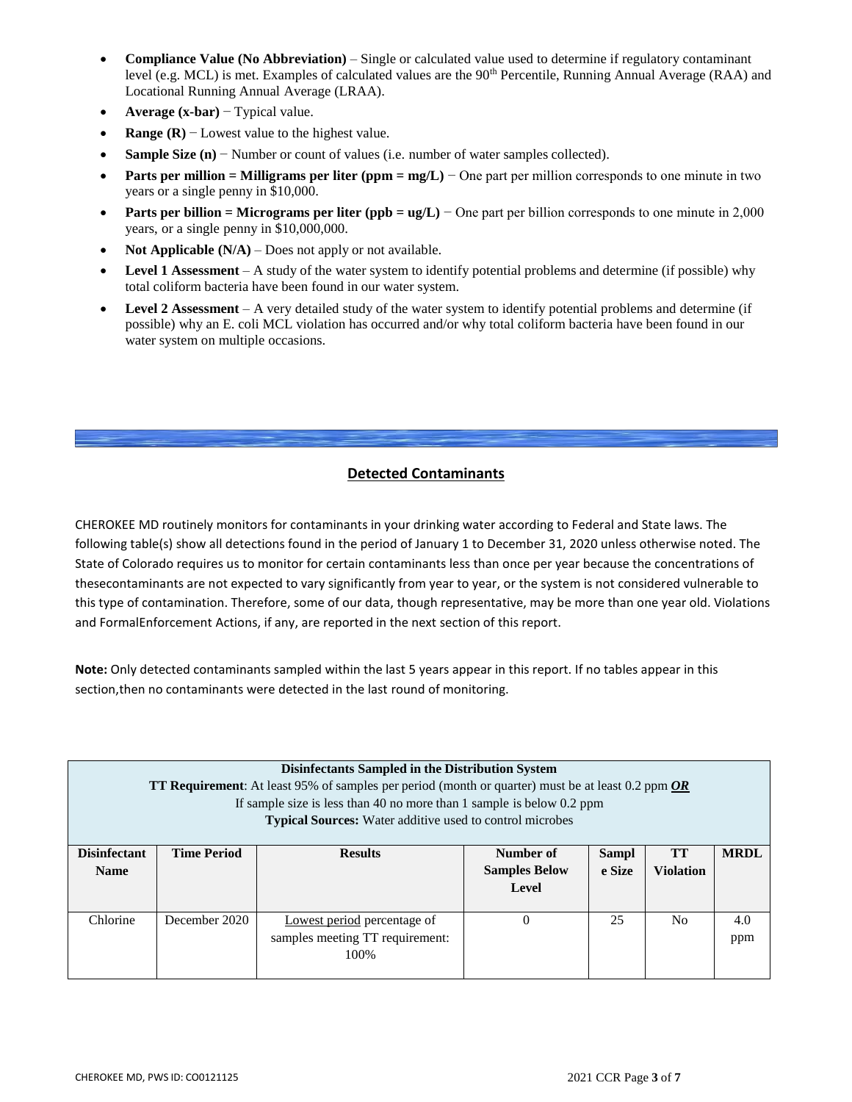- **Compliance Value (No Abbreviation)**  Single or calculated value used to determine if regulatory contaminant level (e.g. MCL) is met. Examples of calculated values are the  $90<sup>th</sup>$  Percentile, Running Annual Average (RAA) and Locational Running Annual Average (LRAA).
- **Average (x-bar)** − Typical value.
- **Range (R)** − Lowest value to the highest value.
- **Sample Size (n)** − Number or count of values (i.e. number of water samples collected).
- **Parts per million = Milligrams per liter (ppm = mg/L) − One part per million corresponds to one minute in two** years or a single penny in \$10,000.
- **Parts per billion = Micrograms per liter (ppb = ug/L) − One part per billion corresponds to one minute in 2,000** years, or a single penny in \$10,000,000.
- **Not Applicable (N/A)** Does not apply or not available.
- **Level 1 Assessment** A study of the water system to identify potential problems and determine (if possible) why total coliform bacteria have been found in our water system.
- **Level 2 Assessment**  A very detailed study of the water system to identify potential problems and determine (if possible) why an E. coli MCL violation has occurred and/or why total coliform bacteria have been found in our water system on multiple occasions.

### **Detected Contaminants**

CHEROKEE MD routinely monitors for contaminants in your drinking water according to Federal and State laws. The following table(s) show all detections found in the period of January 1 to December 31, 2020 unless otherwise noted. The State of Colorado requires us to monitor for certain contaminants less than once per year because the concentrations of thesecontaminants are not expected to vary significantly from year to year, or the system is not considered vulnerable to this type of contamination. Therefore, some of our data, though representative, may be more than one year old. Violations and FormalEnforcement Actions, if any, are reported in the next section of this report.

**Note:** Only detected contaminants sampled within the last 5 years appear in this report. If no tables appear in this section,then no contaminants were detected in the last round of monitoring.

| <b>Disinfectants Sampled in the Distribution System</b><br><b>TT Requirement</b> : At least 95% of samples per period (month or quarter) must be at least 0.2 ppm <b>OR</b><br>If sample size is less than 40 no more than 1 sample is below $0.2$ ppm<br><b>Typical Sources:</b> Water additive used to control microbes |                    |                                                                         |                      |        |                  |     |  |  |  |
|---------------------------------------------------------------------------------------------------------------------------------------------------------------------------------------------------------------------------------------------------------------------------------------------------------------------------|--------------------|-------------------------------------------------------------------------|----------------------|--------|------------------|-----|--|--|--|
| <b>Disinfectant</b>                                                                                                                                                                                                                                                                                                       | <b>Time Period</b> | <b>TT</b><br><b>MRDL</b><br>Number of<br><b>Results</b><br><b>Sampl</b> |                      |        |                  |     |  |  |  |
| <b>Name</b>                                                                                                                                                                                                                                                                                                               |                    |                                                                         | <b>Samples Below</b> | e Size | <b>Violation</b> |     |  |  |  |
|                                                                                                                                                                                                                                                                                                                           |                    |                                                                         | Level                |        |                  |     |  |  |  |
| Chlorine                                                                                                                                                                                                                                                                                                                  | December 2020      | Lowest period percentage of                                             | $\Omega$             | 25     | N <sub>0</sub>   | 4.0 |  |  |  |
|                                                                                                                                                                                                                                                                                                                           |                    | samples meeting TT requirement:                                         |                      |        |                  | ppm |  |  |  |
|                                                                                                                                                                                                                                                                                                                           |                    | 100%                                                                    |                      |        |                  |     |  |  |  |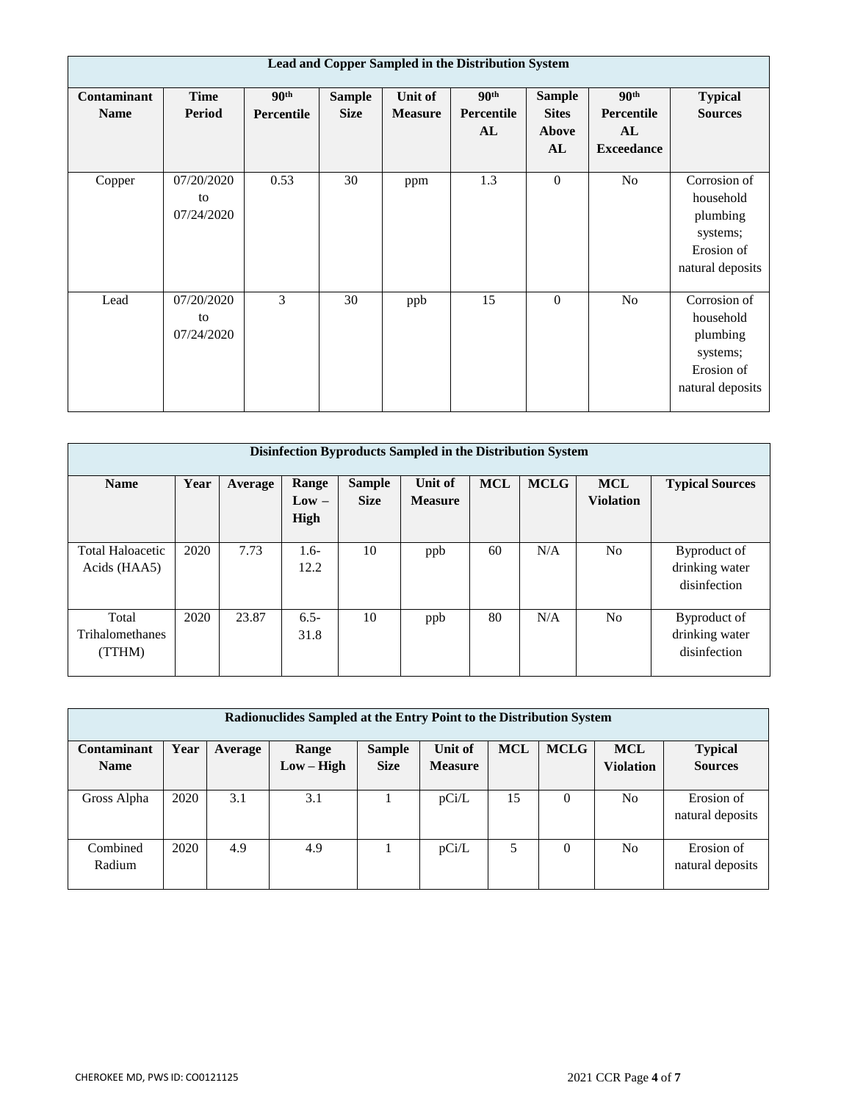| Lead and Copper Sampled in the Distribution System |                                |                  |               |                |                         |                               |                                |                                                                                     |  |  |
|----------------------------------------------------|--------------------------------|------------------|---------------|----------------|-------------------------|-------------------------------|--------------------------------|-------------------------------------------------------------------------------------|--|--|
| Contaminant                                        | <b>Time</b><br><b>Period</b>   | 90 <sup>th</sup> | <b>Sample</b> | Unit of        | 90 <sup>th</sup>        | <b>Sample</b><br><b>Sites</b> | 90 <sup>th</sup><br>Percentile | <b>Typical</b>                                                                      |  |  |
| <b>Name</b>                                        |                                | Percentile       | <b>Size</b>   | <b>Measure</b> | <b>Percentile</b><br>AL | Above                         | AL                             | <b>Sources</b>                                                                      |  |  |
|                                                    |                                |                  |               |                |                         | AL                            | <b>Exceedance</b>              |                                                                                     |  |  |
| Copper                                             | 07/20/2020<br>to<br>07/24/2020 | 0.53             | 30            | ppm            | 1.3                     | $\mathbf{0}$                  | No                             | Corrosion of<br>household<br>plumbing<br>systems;<br>Erosion of<br>natural deposits |  |  |
| Lead                                               | 07/20/2020<br>to<br>07/24/2020 | 3                | 30            | ppb            | 15                      | $\mathbf{0}$                  | No                             | Corrosion of<br>household<br>plumbing<br>systems;<br>Erosion of<br>natural deposits |  |  |

| Disinfection Byproducts Sampled in the Distribution System |      |         |                          |                              |                           |            |             |                                |                                                |  |
|------------------------------------------------------------|------|---------|--------------------------|------------------------------|---------------------------|------------|-------------|--------------------------------|------------------------------------------------|--|
| <b>Name</b>                                                | Year | Average | Range<br>$Low -$<br>High | <b>Sample</b><br><b>Size</b> | Unit of<br><b>Measure</b> | <b>MCL</b> | <b>MCLG</b> | <b>MCL</b><br><b>Violation</b> | <b>Typical Sources</b>                         |  |
| <b>Total Haloacetic</b><br>Acids (HAA5)                    | 2020 | 7.73    | $1.6-$<br>12.2           | 10                           | ppb                       | 60         | N/A         | N <sub>o</sub>                 | Byproduct of<br>drinking water<br>disinfection |  |
| Total<br><b>Trihalomethanes</b><br>(TTHM)                  | 2020 | 23.87   | $6.5 -$<br>31.8          | 10                           | ppb                       | 80         | N/A         | N <sub>o</sub>                 | Byproduct of<br>drinking water<br>disinfection |  |

| Radionuclides Sampled at the Entry Point to the Distribution System |      |         |            |               |                |            |             |                  |                  |  |
|---------------------------------------------------------------------|------|---------|------------|---------------|----------------|------------|-------------|------------------|------------------|--|
| <b>Contaminant</b>                                                  | Year | Average | Range      | <b>Sample</b> | Unit of        | <b>MCL</b> | <b>MCLG</b> | <b>MCL</b>       | <b>Typical</b>   |  |
| <b>Name</b>                                                         |      |         | $Low-High$ | <b>Size</b>   | <b>Measure</b> |            |             | <b>Violation</b> | <b>Sources</b>   |  |
|                                                                     |      |         |            |               |                |            |             |                  |                  |  |
| Gross Alpha                                                         | 2020 | 3.1     | 3.1        |               | pCi/L          | 15         | $\Omega$    | No               | Erosion of       |  |
|                                                                     |      |         |            |               |                |            |             |                  | natural deposits |  |
|                                                                     |      |         |            |               |                |            |             |                  |                  |  |
| Combined                                                            | 2020 | 4.9     | 4.9        |               | pCi/L          | 5          | $\Omega$    | No               | Erosion of       |  |
| Radium                                                              |      |         |            |               |                |            |             |                  | natural deposits |  |
|                                                                     |      |         |            |               |                |            |             |                  |                  |  |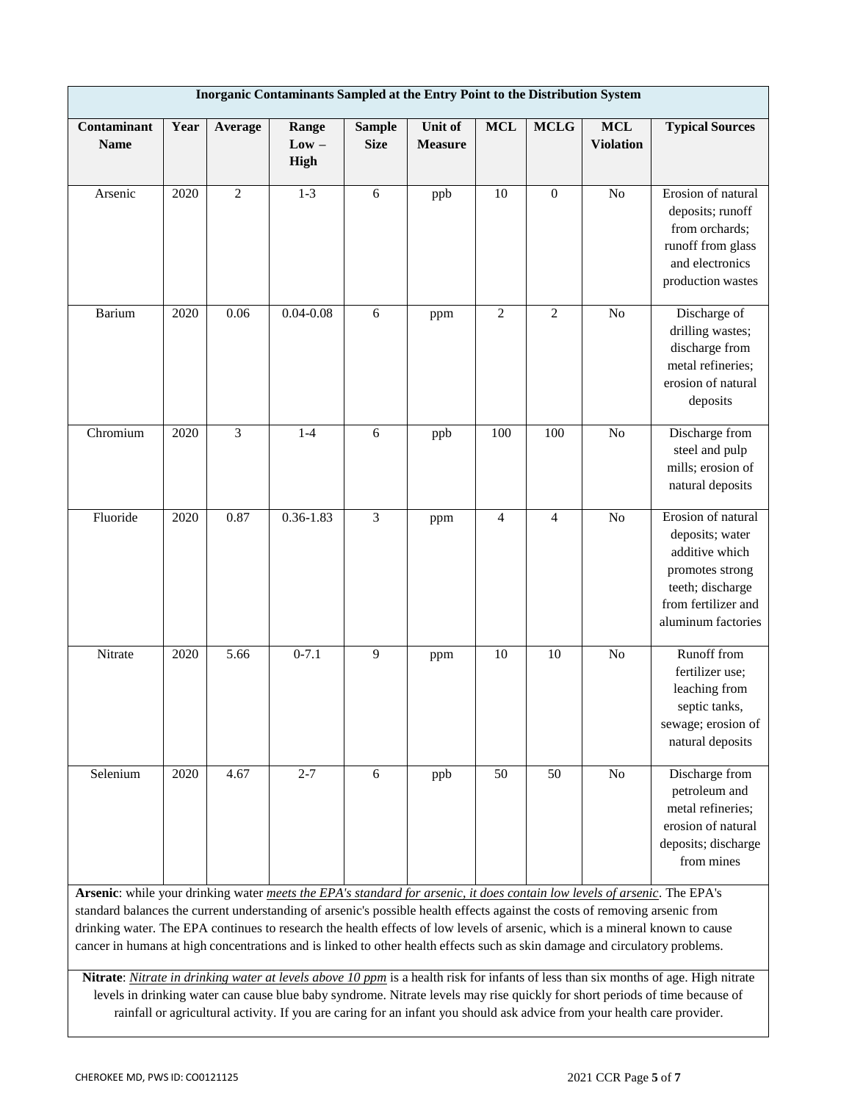|                                                                                                                                                                                                                                                                                                                                                                                                                                                                                                                         | Inorganic Contaminants Sampled at the Entry Point to the Distribution System |            |                          |                              |                           |                |                  |                                |                                                                                                                                                                                                                                                                    |  |  |
|-------------------------------------------------------------------------------------------------------------------------------------------------------------------------------------------------------------------------------------------------------------------------------------------------------------------------------------------------------------------------------------------------------------------------------------------------------------------------------------------------------------------------|------------------------------------------------------------------------------|------------|--------------------------|------------------------------|---------------------------|----------------|------------------|--------------------------------|--------------------------------------------------------------------------------------------------------------------------------------------------------------------------------------------------------------------------------------------------------------------|--|--|
| Contaminant<br><b>Name</b>                                                                                                                                                                                                                                                                                                                                                                                                                                                                                              | Year                                                                         | Average    | Range<br>$Low -$<br>High | <b>Sample</b><br><b>Size</b> | Unit of<br><b>Measure</b> | <b>MCL</b>     | <b>MCLG</b>      | <b>MCL</b><br><b>Violation</b> | <b>Typical Sources</b>                                                                                                                                                                                                                                             |  |  |
| Arsenic                                                                                                                                                                                                                                                                                                                                                                                                                                                                                                                 | 2020                                                                         | $\sqrt{2}$ | $1 - 3$                  | 6                            | ppb                       | 10             | $\boldsymbol{0}$ | N <sub>o</sub>                 | Erosion of natural<br>deposits; runoff<br>from orchards;<br>runoff from glass<br>and electronics<br>production wastes                                                                                                                                              |  |  |
| <b>Barium</b>                                                                                                                                                                                                                                                                                                                                                                                                                                                                                                           | 2020                                                                         | 0.06       | $0.04 - 0.08$            | 6                            | ppm                       | $\sqrt{2}$     | $\overline{2}$   | N <sub>o</sub>                 | Discharge of<br>drilling wastes;<br>discharge from<br>metal refineries;<br>erosion of natural<br>deposits                                                                                                                                                          |  |  |
| Chromium                                                                                                                                                                                                                                                                                                                                                                                                                                                                                                                | 2020                                                                         | 3          | $1-4$                    | 6                            | ppb                       | 100            | 100              | N <sub>o</sub>                 | Discharge from<br>steel and pulp<br>mills; erosion of<br>natural deposits                                                                                                                                                                                          |  |  |
| Fluoride                                                                                                                                                                                                                                                                                                                                                                                                                                                                                                                | 2020                                                                         | 0.87       | $0.36 - 1.83$            | 3                            | ppm                       | $\overline{4}$ | 4                | N <sub>o</sub>                 | Erosion of natural<br>deposits; water<br>additive which<br>promotes strong<br>teeth; discharge<br>from fertilizer and<br>aluminum factories                                                                                                                        |  |  |
| Nitrate                                                                                                                                                                                                                                                                                                                                                                                                                                                                                                                 | 2020                                                                         | 5.66       | $0-7.1$                  | $\overline{9}$               | ppm                       | 10             | 10               | N <sub>o</sub>                 | Runoff from<br>fertilizer use;<br>leaching from<br>septic tanks,<br>sewage; erosion of<br>natural deposits                                                                                                                                                         |  |  |
| Selenium                                                                                                                                                                                                                                                                                                                                                                                                                                                                                                                | 2020                                                                         | 4.67       | $2 - 7$                  | 6                            | ppb                       | 50             | 50               | No                             | Discharge from<br>petroleum and<br>metal refineries;<br>erosion of natural<br>deposits; discharge<br>from mines                                                                                                                                                    |  |  |
| Arsenic: while your drinking water meets the EPA's standard for arsenic, it does contain low levels of arsenic. The EPA's<br>standard balances the current understanding of arsenic's possible health effects against the costs of removing arsenic from<br>drinking water. The EPA continues to research the health effects of low levels of arsenic, which is a mineral known to cause<br>cancer in humans at high concentrations and is linked to other health effects such as skin damage and circulatory problems. |                                                                              |            |                          |                              |                           |                |                  |                                |                                                                                                                                                                                                                                                                    |  |  |
|                                                                                                                                                                                                                                                                                                                                                                                                                                                                                                                         |                                                                              |            |                          |                              |                           |                |                  |                                | Nitrate: Nitrate in drinking water at levels above 10 ppm is a health risk for infants of less than six months of age. High nitrate<br>levels in drinking water can cause blue baby syndrome. Nitrate levels may rise quickly for short periods of time because of |  |  |

rainfall or agricultural activity. If you are caring for an infant you should ask advice from your health care provider.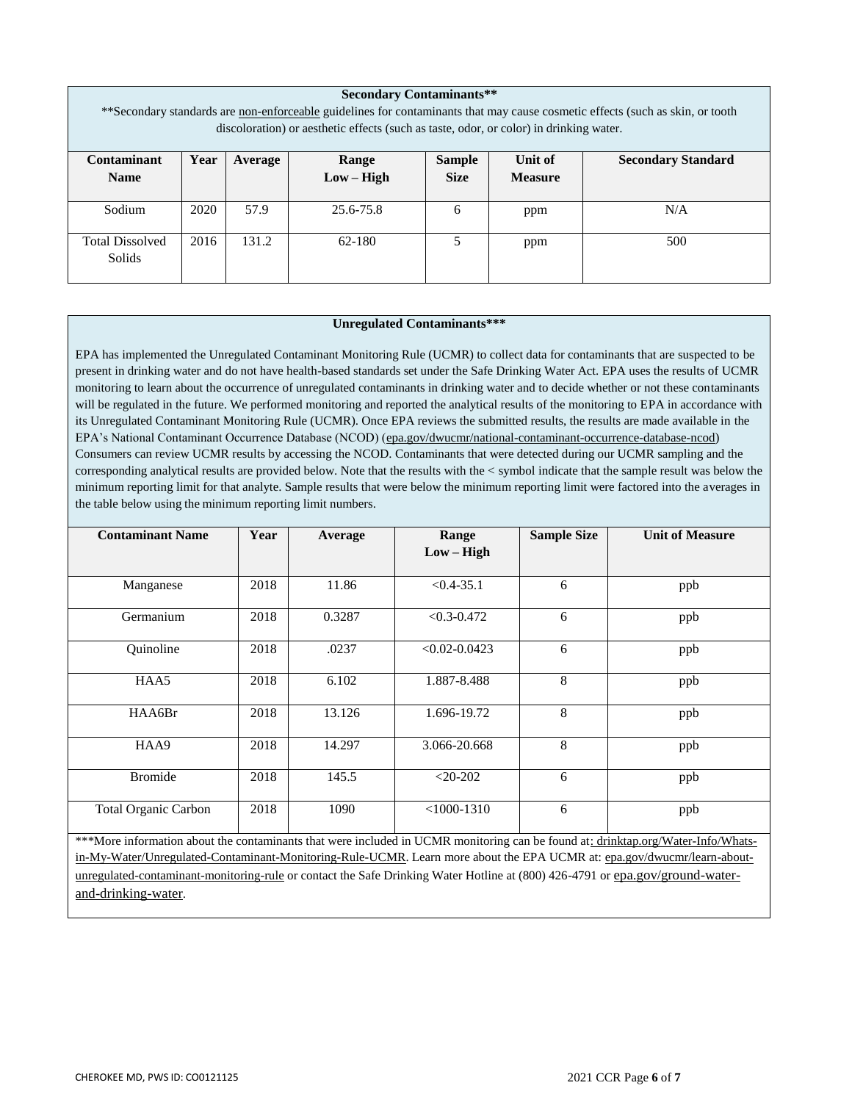| <b>Secondary Contaminants**</b><br>**Secondary standards are non-enforceable guidelines for contaminants that may cause cosmetic effects (such as skin, or tooth<br>discoloration) or aesthetic effects (such as taste, odor, or color) in drinking water. |      |                                                                           |                                               |   |     |     |  |  |  |  |  |
|------------------------------------------------------------------------------------------------------------------------------------------------------------------------------------------------------------------------------------------------------------|------|---------------------------------------------------------------------------|-----------------------------------------------|---|-----|-----|--|--|--|--|--|
| Contaminant                                                                                                                                                                                                                                                | Year | Unit of<br><b>Secondary Standard</b><br><b>Sample</b><br>Range<br>Average |                                               |   |     |     |  |  |  |  |  |
| <b>Name</b>                                                                                                                                                                                                                                                |      |                                                                           | <b>Size</b><br>$Low - High$<br><b>Measure</b> |   |     |     |  |  |  |  |  |
| Sodium                                                                                                                                                                                                                                                     | 2020 | 57.9                                                                      | 25.6-75.8                                     | 6 | ppm | N/A |  |  |  |  |  |
| <b>Total Dissolved</b><br>Solids                                                                                                                                                                                                                           | 2016 | 131.2                                                                     | 62-180                                        | 5 | ppm | 500 |  |  |  |  |  |

#### **Unregulated Contaminants\*\*\***

EPA has implemented the Unregulated Contaminant Monitoring Rule (UCMR) to collect data for contaminants that are suspected to be present in drinking water and do not have health-based standards set under the Safe Drinking Water Act. EPA uses the results of UCMR monitoring to learn about the occurrence of unregulated contaminants in drinking water and to decide whether or not these contaminants will be regulated in the future. We performed monitoring and reported the analytical results of the monitoring to EPA in accordance with its Unregulated Contaminant Monitoring Rule (UCMR). Once EPA reviews the submitted results, the results are made available in the EPA's National Contaminant Occurrence Database (NCOD) (epa.gov/dwucmr/national-contaminant-occurrence-database-ncod) Consumers can review UCMR results by accessing the NCOD. Contaminants that were detected during our UCMR sampling and the corresponding analytical results are provided below. Note that the results with the < symbol indicate that the sample result was below the minimum reporting limit for that analyte. Sample results that were below the minimum reporting limit were factored into the averages in the table below using the minimum reporting limit numbers.

| <b>Contaminant Name</b>     | Year | Average | Range<br>$Low - High$ | <b>Sample Size</b> | <b>Unit of Measure</b> |
|-----------------------------|------|---------|-----------------------|--------------------|------------------------|
|                             |      |         |                       |                    |                        |
| Manganese                   | 2018 | 11.86   | $< 0.4 - 35.1$        | 6                  | ppb                    |
| Germanium                   | 2018 | 0.3287  | $< 0.3 - 0.472$       | 6                  | ppb                    |
| Quinoline                   | 2018 | .0237   | $< 0.02 - 0.0423$     | 6                  | ppb                    |
| HAA5                        | 2018 | 6.102   | 1.887-8.488           | 8                  | ppb                    |
| HAA6Br                      | 2018 | 13.126  | 1.696-19.72           | 8                  | ppb                    |
| HAA9                        | 2018 | 14.297  | 3.066-20.668          | 8                  | ppb                    |
| <b>Bromide</b>              | 2018 | 145.5   | $<$ 20-202            | 6                  | ppb                    |
| <b>Total Organic Carbon</b> | 2018 | 1090    | $<$ 1000-1310         | 6                  | ppb                    |

\*\*\*More information about the contaminants that were included in UCMR monitoring can be found at: drinktap.org/Water-Info/Whatsin-My-Water/Unregulated-Contaminant-Monitoring-Rule-UCMR. Learn more about the EPA UCMR at: epa.gov/dwucmr/learn-aboutunregulated-contaminant-monitoring-rule or contact the Safe Drinking Water Hotline at (800) 426-4791 or epa.gov/ground-waterand-drinking-water.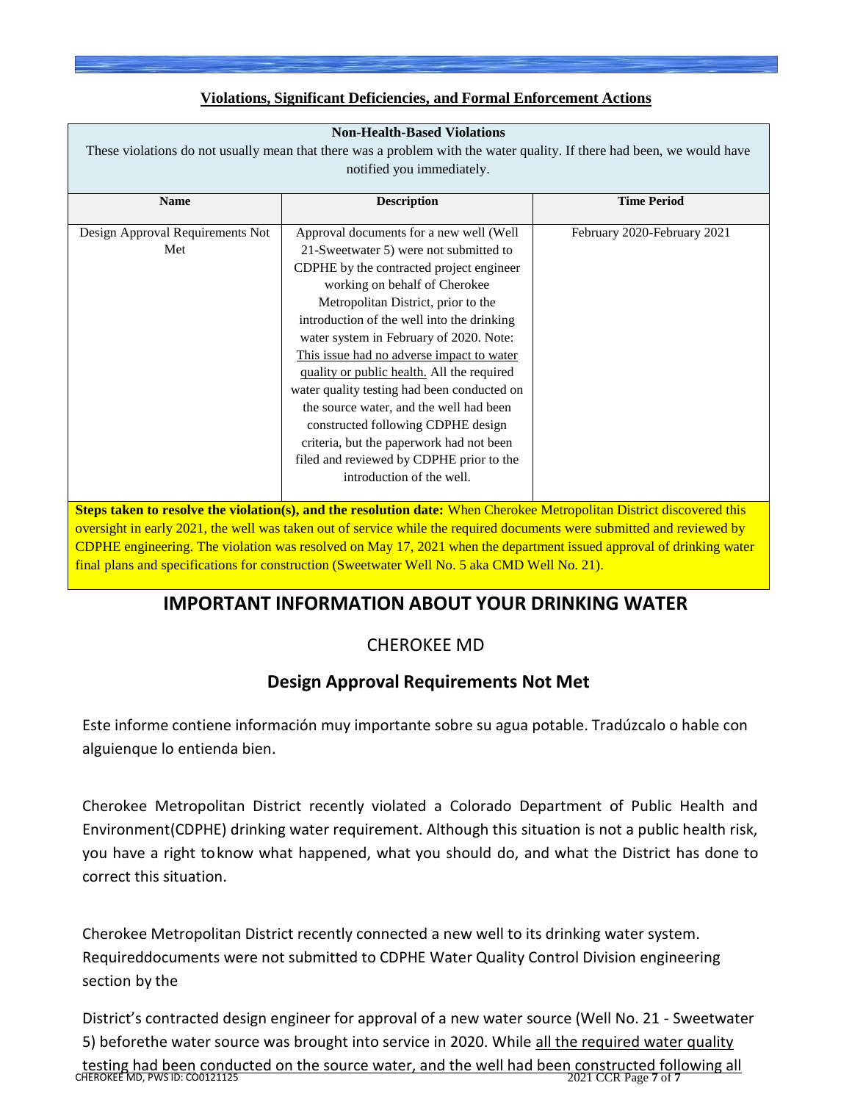## **Violations, Significant Deficiencies, and Formal Enforcement Actions**

| <b>Non-Health-Based Violations</b><br>These violations do not usually mean that there was a problem with the water quality. If there had been, we would have                                                                                                                                                       |                                                                                                                                                                                                                                                                                                                                                                                                                                                                                                                                                                                                                                                |                             |
|--------------------------------------------------------------------------------------------------------------------------------------------------------------------------------------------------------------------------------------------------------------------------------------------------------------------|------------------------------------------------------------------------------------------------------------------------------------------------------------------------------------------------------------------------------------------------------------------------------------------------------------------------------------------------------------------------------------------------------------------------------------------------------------------------------------------------------------------------------------------------------------------------------------------------------------------------------------------------|-----------------------------|
| notified you immediately.                                                                                                                                                                                                                                                                                          |                                                                                                                                                                                                                                                                                                                                                                                                                                                                                                                                                                                                                                                |                             |
| <b>Name</b>                                                                                                                                                                                                                                                                                                        | <b>Description</b>                                                                                                                                                                                                                                                                                                                                                                                                                                                                                                                                                                                                                             | <b>Time Period</b>          |
| Design Approval Requirements Not<br>Met                                                                                                                                                                                                                                                                            | Approval documents for a new well (Well<br>21-Sweetwater 5) were not submitted to<br>CDPHE by the contracted project engineer<br>working on behalf of Cherokee<br>Metropolitan District, prior to the<br>introduction of the well into the drinking<br>water system in February of 2020. Note:<br>This issue had no adverse impact to water<br>quality or public health. All the required<br>water quality testing had been conducted on<br>the source water, and the well had been<br>constructed following CDPHE design<br>criteria, but the paperwork had not been<br>filed and reviewed by CDPHE prior to the<br>introduction of the well. | February 2020-February 2021 |
| Steps taken to resolve the violation(s), and the resolution date: When Cherokee Metropolitan District discovered this<br>$\overline{1}$ and $\overline{1}$ and $\overline{1}$ and $\overline{1}$ and $\overline{1}$ and $\overline{1}$ and $\overline{1}$ and $\overline{1}$ and $\overline{1}$ and $\overline{1}$ |                                                                                                                                                                                                                                                                                                                                                                                                                                                                                                                                                                                                                                                |                             |

oversight in early 2021, the well was taken out of service while the required documents were submitted and reviewed by CDPHE engineering. The violation was resolved on May 17, 2021 when the department issued approval of drinking water final plans and specifications for construction (Sweetwater Well No. 5 aka CMD Well No. 21).

# **IMPORTANT INFORMATION ABOUT YOUR DRINKING WATER**

# CHEROKEE MD

# **Design Approval Requirements Not Met**

Este informe contiene información muy importante sobre su agua potable. Tradúzcalo o hable con alguienque lo entienda bien.

Cherokee Metropolitan District recently violated a Colorado Department of Public Health and Environment(CDPHE) drinking water requirement. Although this situation is not a public health risk, you have a right toknow what happened, what you should do, and what the District has done to correct this situation.

Cherokee Metropolitan District recently connected a new well to its drinking water system. Requireddocuments were not submitted to CDPHE Water Quality Control Division engineering section by the

District's contracted design engineer for approval of a new water source (Well No. 21 - Sweetwater 5) beforethe water source was brought into service in 2020. While all the required water quality

testing had been conducted on the source water, and the well had been constructed following all<br>CHEROKEE MD, PWS ID: CO0121125